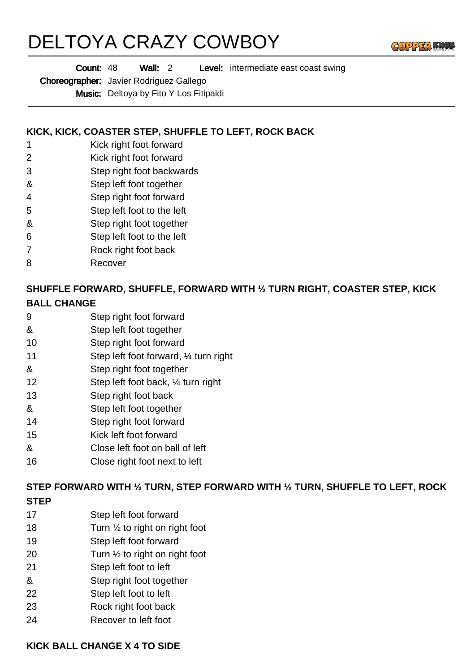# DELTOYA CRAZY COWBOY



Wall: 2 Level: intermediate east coast swing Count: 48

Choreographer: Javier Rodriguez Gallego

Music: Deltoya by Fito Y Los Fitipaldi

#### **KICK, KICK, COASTER STEP, SHUFFLE TO LEFT, ROCK BACK**

- 1 Kick right foot forward
- 2 Kick right foot forward
- 3 Step right foot backwards
- & Step left foot together
- 4 Step right foot forward
- 5 Step left foot to the left
- & Step right foot together
- 6 Step left foot to the left
- 7 Rock right foot back
- 8 Recover

### **SHUFFLE FORWARD, SHUFFLE, FORWARD WITH ½ TURN RIGHT, COASTER STEP, KICK BALL CHANGE**

- 9 Step right foot forward
- & Step left foot together
- 10 Step right foot forward
- 11 Step left foot forward, ¼ turn right
- & Step right foot together
- 12 Step left foot back, ¼ turn right
- 13 Step right foot back
- & Step left foot together
- 14 Step right foot forward
- 15 Kick left foot forward
- & Close left foot on ball of left
- 16 Close right foot next to left

# **STEP FORWARD WITH ½ TURN, STEP FORWARD WITH ½ TURN, SHUFFLE TO LEFT, ROCK**

- **STEP**
- 17 Step left foot forward
- 18 Turn  $\frac{1}{2}$  to right on right foot
- 19 Step left foot forward
- 20 Turn  $\frac{1}{2}$  to right on right foot
- 21 Step left foot to left
- & Step right foot together
- 22 Step left foot to left
- 23 Rock right foot back
- 24 Recover to left foot

#### **KICK BALL CHANGE X 4 TO SIDE**